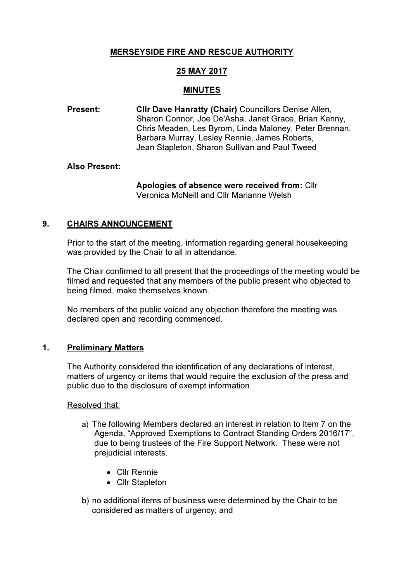# MERSEYSIDE FIRE AND RESCUE AUTHORITY

# 25 MAY 2017

#### MINUTES

Present: Cllr Dave Hanratty (Chair) Councillors Denise Allen, Sharon Connor, Joe De'Asha, Janet Grace, Brian Kenny, Chris Meaden, Les Byrom, Linda Maloney, Peter Brennan, Barbara Murray, Lesley Rennie, James Roberts, Jean Stapleton, Sharon Sullivan and Paul Tweed

#### Also Present:

Apologies of absence were received from: Cllr Veronica McNeill and Cllr Marianne Welsh

### 9. CHAIRS ANNOUNCEMENT

Prior to the start of the meeting, information regarding general housekeeping was provided by the Chair to all in attendance.

The Chair confirmed to all present that the proceedings of the meeting would be filmed and requested that any members of the public present who objected to being filmed, make themselves known.

No members of the public voiced any objection therefore the meeting was declared open and recording commenced.

#### 1. Preliminary Matters

The Authority considered the identification of any declarations of interest, matters of urgency or items that would require the exclusion of the press and public due to the disclosure of exempt information.

Resolved that:

- a) The following Members declared an interest in relation to Item 7 on the Agenda, "Approved Exemptions to Contract Standing Orders 2016/17", due to being trustees of the Fire Support Network. These were not prejudicial interests.
	- Cllr Rennie
	- Cllr Stapleton
- b) no additional items of business were determined by the Chair to be considered as matters of urgency; and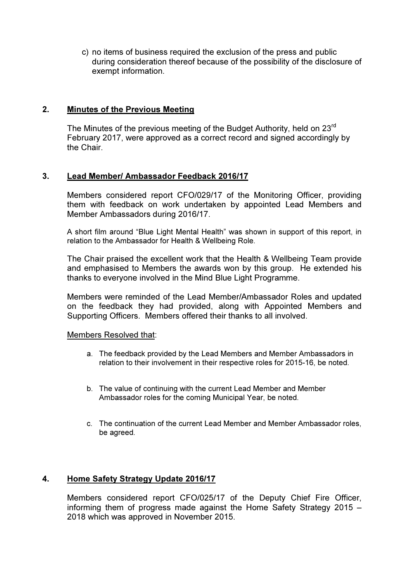c) no items of business required the exclusion of the press and public during consideration thereof because of the possibility of the disclosure of exempt information.

#### 2. Minutes of the Previous Meeting

The Minutes of the previous meeting of the Budget Authority, held on 23<sup>rd</sup> February 2017, were approved as a correct record and signed accordingly by the Chair.

### 3. Lead Member/ Ambassador Feedback 2016/17

Members considered report CFO/029/17 of the Monitoring Officer, providing them with feedback on work undertaken by appointed Lead Members and Member Ambassadors during 2016/17.

A short film around "Blue Light Mental Health" was shown in support of this report, in relation to the Ambassador for Health & Wellbeing Role.

The Chair praised the excellent work that the Health & Wellbeing Team provide and emphasised to Members the awards won by this group. He extended his thanks to everyone involved in the Mind Blue Light Programme.

Members were reminded of the Lead Member/Ambassador Roles and updated on the feedback they had provided, along with Appointed Members and Supporting Officers. Members offered their thanks to all involved.

#### Members Resolved that:

- a. The feedback provided by the Lead Members and Member Ambassadors in relation to their involvement in their respective roles for 2015-16, be noted.
- b. The value of continuing with the current Lead Member and Member Ambassador roles for the coming Municipal Year, be noted.
- c. The continuation of the current Lead Member and Member Ambassador roles, be agreed.

#### 4. Home Safety Strategy Update 2016/17

Members considered report CFO/025/17 of the Deputy Chief Fire Officer, informing them of progress made against the Home Safety Strategy 2015 – 2018 which was approved in November 2015.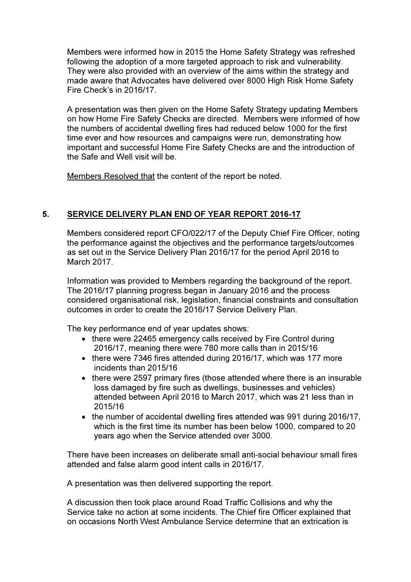Members were informed how in 2015 the Home Safety Strategy was refreshed following the adoption of a more targeted approach to risk and vulnerability. They were also provided with an overview of the aims within the strategy and made aware that Advocates have delivered over 8000 High Risk Home Safety Fire Check's in 2016/17.

A presentation was then given on the Home Safety Strategy updating Members on how Home Fire Safety Checks are directed. Members were informed of how the numbers of accidental dwelling fires had reduced below 1000 for the first time ever and how resources and campaigns were run, demonstrating how important and successful Home Fire Safety Checks are and the introduction of the Safe and Well visit will be.

Members Resolved that the content of the report be noted.

## 5. SERVICE DELIVERY PLAN END OF YEAR REPORT 2016-17

Members considered report CFO/022/17 of the Deputy Chief Fire Officer, noting the performance against the objectives and the performance targets/outcomes as set out in the Service Delivery Plan 2016/17 for the period April 2016 to March 2017.

Information was provided to Members regarding the background of the report. The 2016/17 planning progress began in January 2016 and the process considered organisational risk, legislation, financial constraints and consultation outcomes in order to create the 2016/17 Service Delivery Plan.

The key performance end of year updates shows:

- there were 22465 emergency calls received by Fire Control during 2016/17, meaning there were 780 more calls than in 2015/16
- there were 7346 fires attended during 2016/17, which was 177 more incidents than 2015/16
- there were 2597 primary fires (those attended where there is an insurable loss damaged by fire such as dwellings, businesses and vehicles) attended between April 2016 to March 2017, which was 21 less than in 2015/16
- the number of accidental dwelling fires attended was 991 during 2016/17, which is the first time its number has been below 1000, compared to 20 years ago when the Service attended over 3000.

There have been increases on deliberate small anti-social behaviour small fires attended and false alarm good intent calls in 2016/17.

A presentation was then delivered supporting the report.

A discussion then took place around Road Traffic Collisions and why the Service take no action at some incidents. The Chief fire Officer explained that on occasions North West Ambulance Service determine that an extrication is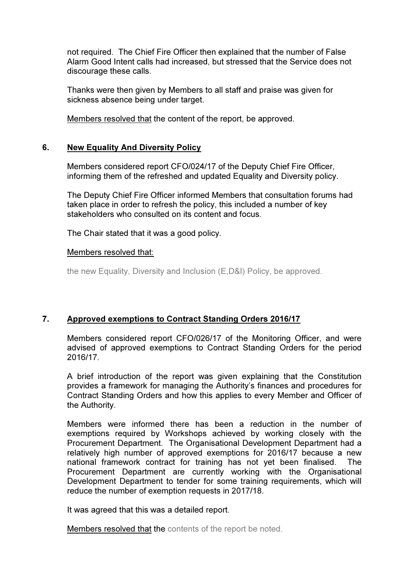not required. The Chief Fire Officer then explained that the number of False Alarm Good Intent calls had increased, but stressed that the Service does not discourage these calls.

Thanks were then given by Members to all staff and praise was given for sickness absence being under target.

Members resolved that the content of the report, be approved.

## 6. New Equality And Diversity Policy

Members considered report CFO/024/17 of the Deputy Chief Fire Officer, informing them of the refreshed and updated Equality and Diversity policy.

The Deputy Chief Fire Officer informed Members that consultation forums had taken place in order to refresh the policy, this included a number of key stakeholders who consulted on its content and focus.

The Chair stated that it was a good policy.

#### Members resolved that:

the new Equality, Diversity and Inclusion (E,D&I) Policy, be approved.

## 7. Approved exemptions to Contract Standing Orders 2016/17

Members considered report CFO/026/17 of the Monitoring Officer, and were advised of approved exemptions to Contract Standing Orders for the period 2016/17.

A brief introduction of the report was given explaining that the Constitution provides a framework for managing the Authority's finances and procedures for Contract Standing Orders and how this applies to every Member and Officer of the Authority.

Members were informed there has been a reduction in the number of exemptions required by Workshops achieved by working closely with the Procurement Department. The Organisational Development Department had a relatively high number of approved exemptions for 2016/17 because a new national framework contract for training has not yet been finalised. The Procurement Department are currently working with the Organisational Development Department to tender for some training requirements, which will reduce the number of exemption requests in 2017/18.

It was agreed that this was a detailed report.

Members resolved that the contents of the report be noted.